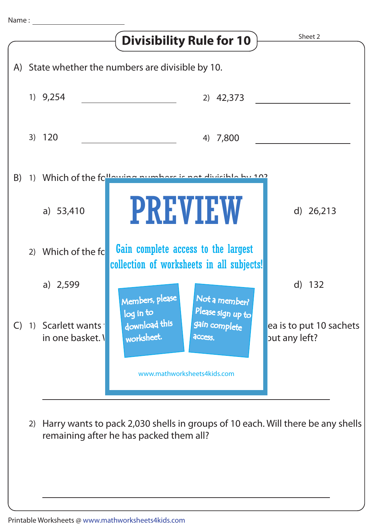